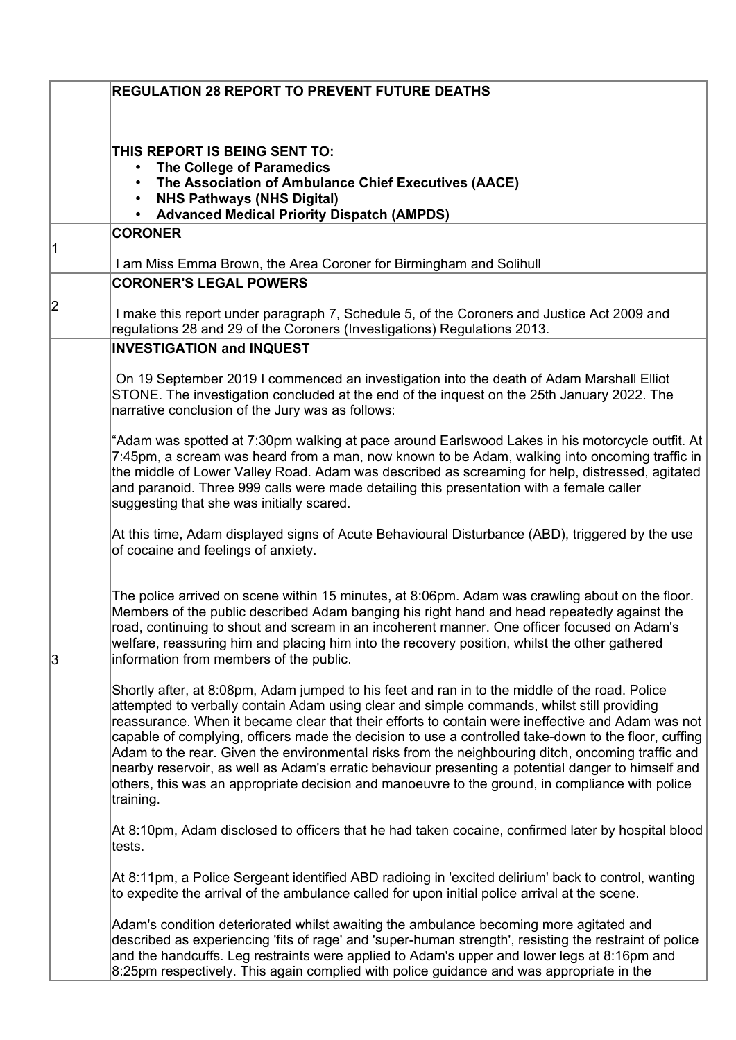|   | <b>REGULATION 28 REPORT TO PREVENT FUTURE DEATHS</b>                                                                                                                                                                                                                                                                                                                                                                                                                                                                                                                                                                                                                                                                                 |
|---|--------------------------------------------------------------------------------------------------------------------------------------------------------------------------------------------------------------------------------------------------------------------------------------------------------------------------------------------------------------------------------------------------------------------------------------------------------------------------------------------------------------------------------------------------------------------------------------------------------------------------------------------------------------------------------------------------------------------------------------|
|   | THIS REPORT IS BEING SENT TO:<br>The College of Paramedics<br>$\bullet$<br>The Association of Ambulance Chief Executives (AACE)<br><b>NHS Pathways (NHS Digital)</b><br>$\bullet$<br><b>Advanced Medical Priority Dispatch (AMPDS)</b><br>$\bullet$                                                                                                                                                                                                                                                                                                                                                                                                                                                                                  |
|   | <b>CORONER</b>                                                                                                                                                                                                                                                                                                                                                                                                                                                                                                                                                                                                                                                                                                                       |
|   | I am Miss Emma Brown, the Area Coroner for Birmingham and Solihull                                                                                                                                                                                                                                                                                                                                                                                                                                                                                                                                                                                                                                                                   |
|   | <b>CORONER'S LEGAL POWERS</b>                                                                                                                                                                                                                                                                                                                                                                                                                                                                                                                                                                                                                                                                                                        |
| 2 | I make this report under paragraph 7, Schedule 5, of the Coroners and Justice Act 2009 and<br>regulations 28 and 29 of the Coroners (Investigations) Regulations 2013.                                                                                                                                                                                                                                                                                                                                                                                                                                                                                                                                                               |
|   | <b>INVESTIGATION and INQUEST</b>                                                                                                                                                                                                                                                                                                                                                                                                                                                                                                                                                                                                                                                                                                     |
|   | On 19 September 2019 I commenced an investigation into the death of Adam Marshall Elliot<br>STONE. The investigation concluded at the end of the inquest on the 25th January 2022. The<br>narrative conclusion of the Jury was as follows:                                                                                                                                                                                                                                                                                                                                                                                                                                                                                           |
|   | "Adam was spotted at 7:30pm walking at pace around Earlswood Lakes in his motorcycle outfit. At<br>7:45pm, a scream was heard from a man, now known to be Adam, walking into oncoming traffic in<br>the middle of Lower Valley Road. Adam was described as screaming for help, distressed, agitated<br>and paranoid. Three 999 calls were made detailing this presentation with a female caller<br>suggesting that she was initially scared.                                                                                                                                                                                                                                                                                         |
|   | At this time, Adam displayed signs of Acute Behavioural Disturbance (ABD), triggered by the use<br>of cocaine and feelings of anxiety.                                                                                                                                                                                                                                                                                                                                                                                                                                                                                                                                                                                               |
| 3 | The police arrived on scene within 15 minutes, at 8:06pm. Adam was crawling about on the floor.<br>Members of the public described Adam banging his right hand and head repeatedly against the<br>road, continuing to shout and scream in an incoherent manner. One officer focused on Adam's<br>welfare, reassuring him and placing him into the recovery position, whilst the other gathered<br>information from members of the public.                                                                                                                                                                                                                                                                                            |
|   | Shortly after, at 8:08pm, Adam jumped to his feet and ran in to the middle of the road. Police<br>attempted to verbally contain Adam using clear and simple commands, whilst still providing<br>reassurance. When it became clear that their efforts to contain were ineffective and Adam was not<br>capable of complying, officers made the decision to use a controlled take-down to the floor, cuffing<br>Adam to the rear. Given the environmental risks from the neighbouring ditch, oncoming traffic and<br>nearby reservoir, as well as Adam's erratic behaviour presenting a potential danger to himself and<br>others, this was an appropriate decision and manoeuvre to the ground, in compliance with police<br>training. |
|   | At 8:10pm, Adam disclosed to officers that he had taken cocaine, confirmed later by hospital blood<br>tests.                                                                                                                                                                                                                                                                                                                                                                                                                                                                                                                                                                                                                         |
|   | At 8:11pm, a Police Sergeant identified ABD radioing in 'excited delirium' back to control, wanting<br>to expedite the arrival of the ambulance called for upon initial police arrival at the scene.                                                                                                                                                                                                                                                                                                                                                                                                                                                                                                                                 |
|   | Adam's condition deteriorated whilst awaiting the ambulance becoming more agitated and<br>described as experiencing 'fits of rage' and 'super-human strength', resisting the restraint of police<br>and the handcuffs. Leg restraints were applied to Adam's upper and lower legs at 8:16pm and<br>8:25pm respectively. This again complied with police guidance and was appropriate in the                                                                                                                                                                                                                                                                                                                                          |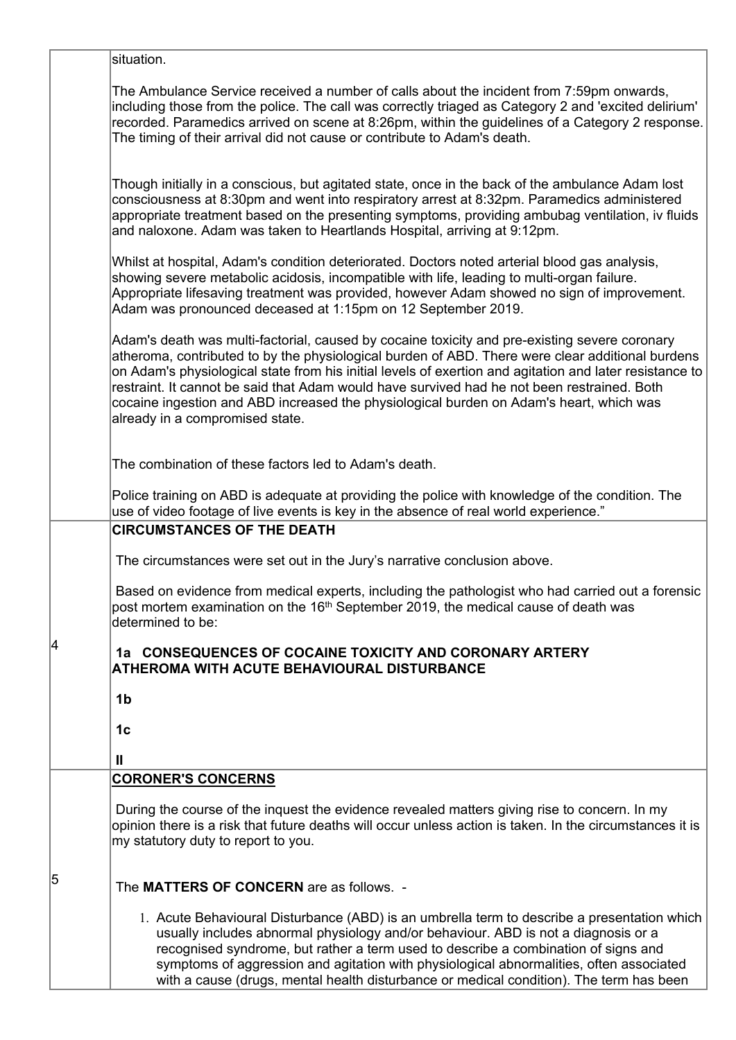|   | situation.                                                                                                                                                                                                                                                                                                                                                                                                                                                                                                                                |
|---|-------------------------------------------------------------------------------------------------------------------------------------------------------------------------------------------------------------------------------------------------------------------------------------------------------------------------------------------------------------------------------------------------------------------------------------------------------------------------------------------------------------------------------------------|
|   | The Ambulance Service received a number of calls about the incident from 7:59pm onwards,<br>including those from the police. The call was correctly triaged as Category 2 and 'excited delirium'<br>recorded. Paramedics arrived on scene at 8:26pm, within the guidelines of a Category 2 response.<br>The timing of their arrival did not cause or contribute to Adam's death.                                                                                                                                                          |
|   | Though initially in a conscious, but agitated state, once in the back of the ambulance Adam lost<br>consciousness at 8:30pm and went into respiratory arrest at 8:32pm. Paramedics administered<br>appropriate treatment based on the presenting symptoms, providing ambubag ventilation, iv fluids<br>and naloxone. Adam was taken to Heartlands Hospital, arriving at 9:12pm.                                                                                                                                                           |
|   | Whilst at hospital, Adam's condition deteriorated. Doctors noted arterial blood gas analysis,<br>showing severe metabolic acidosis, incompatible with life, leading to multi-organ failure.<br>Appropriate lifesaving treatment was provided, however Adam showed no sign of improvement.<br>Adam was pronounced deceased at 1:15pm on 12 September 2019.                                                                                                                                                                                 |
|   | Adam's death was multi-factorial, caused by cocaine toxicity and pre-existing severe coronary<br>atheroma, contributed to by the physiological burden of ABD. There were clear additional burdens<br>on Adam's physiological state from his initial levels of exertion and agitation and later resistance to<br>restraint. It cannot be said that Adam would have survived had he not been restrained. Both<br>cocaine ingestion and ABD increased the physiological burden on Adam's heart, which was<br>already in a compromised state. |
|   | The combination of these factors led to Adam's death.                                                                                                                                                                                                                                                                                                                                                                                                                                                                                     |
|   | Police training on ABD is adequate at providing the police with knowledge of the condition. The<br>use of video footage of live events is key in the absence of real world experience."                                                                                                                                                                                                                                                                                                                                                   |
|   | <b>CIRCUMSTANCES OF THE DEATH</b>                                                                                                                                                                                                                                                                                                                                                                                                                                                                                                         |
|   | The circumstances were set out in the Jury's narrative conclusion above.                                                                                                                                                                                                                                                                                                                                                                                                                                                                  |
|   | Based on evidence from medical experts, including the pathologist who had carried out a forensic<br>post mortem examination on the 16 <sup>th</sup> September 2019, the medical cause of death was<br>determined to be:                                                                                                                                                                                                                                                                                                                   |
| 4 | 1a CONSEQUENCES OF COCAINE TOXICITY AND CORONARY ARTERY<br>ATHEROMA WITH ACUTE BEHAVIOURAL DISTURBANCE                                                                                                                                                                                                                                                                                                                                                                                                                                    |
|   | 1 <sub>b</sub>                                                                                                                                                                                                                                                                                                                                                                                                                                                                                                                            |
|   | 1 <sub>c</sub>                                                                                                                                                                                                                                                                                                                                                                                                                                                                                                                            |
|   | Ш                                                                                                                                                                                                                                                                                                                                                                                                                                                                                                                                         |
|   | <b>CORONER'S CONCERNS</b>                                                                                                                                                                                                                                                                                                                                                                                                                                                                                                                 |
|   | During the course of the inquest the evidence revealed matters giving rise to concern. In my<br>opinion there is a risk that future deaths will occur unless action is taken. In the circumstances it is<br>my statutory duty to report to you.                                                                                                                                                                                                                                                                                           |
| 5 | The MATTERS OF CONCERN are as follows. -                                                                                                                                                                                                                                                                                                                                                                                                                                                                                                  |
|   | 1. Acute Behavioural Disturbance (ABD) is an umbrella term to describe a presentation which<br>usually includes abnormal physiology and/or behaviour. ABD is not a diagnosis or a<br>recognised syndrome, but rather a term used to describe a combination of signs and<br>symptoms of aggression and agitation with physiological abnormalities, often associated<br>with a cause (drugs, mental health disturbance or medical condition). The term has been                                                                             |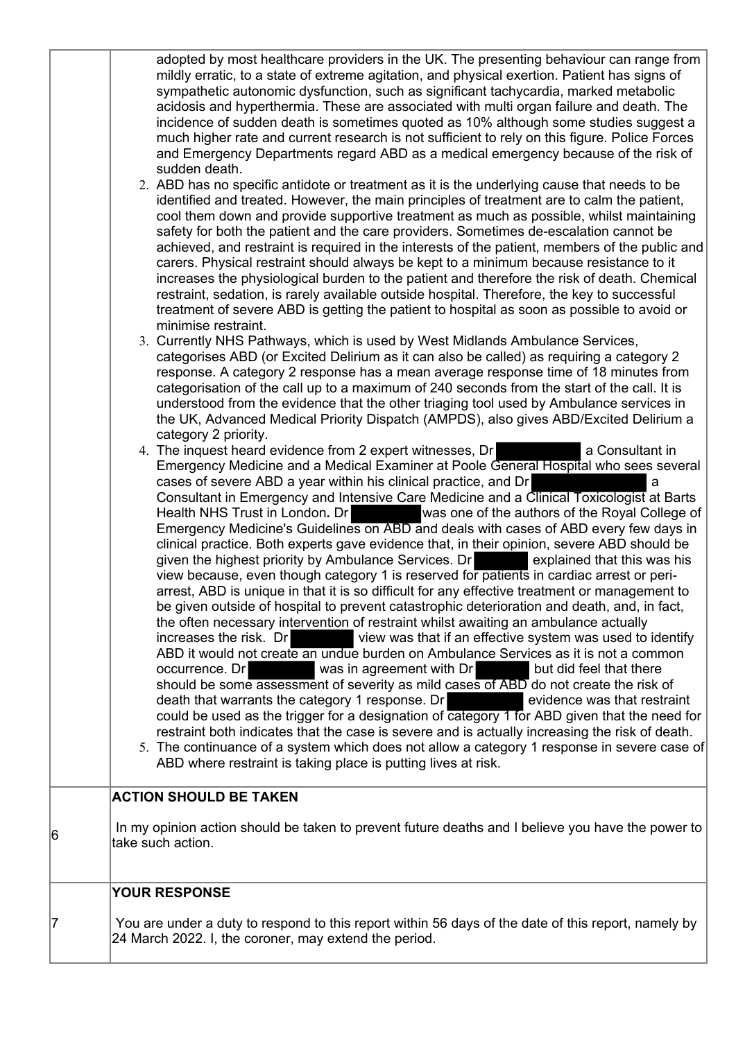|   | adopted by most healthcare providers in the UK. The presenting behaviour can range from<br>mildly erratic, to a state of extreme agitation, and physical exertion. Patient has signs of<br>sympathetic autonomic dysfunction, such as significant tachycardia, marked metabolic<br>acidosis and hyperthermia. These are associated with multi organ failure and death. The<br>incidence of sudden death is sometimes quoted as 10% although some studies suggest a<br>much higher rate and current research is not sufficient to rely on this figure. Police Forces<br>and Emergency Departments regard ABD as a medical emergency because of the risk of<br>sudden death.<br>2. ABD has no specific antidote or treatment as it is the underlying cause that needs to be<br>identified and treated. However, the main principles of treatment are to calm the patient,<br>cool them down and provide supportive treatment as much as possible, whilst maintaining<br>safety for both the patient and the care providers. Sometimes de-escalation cannot be<br>achieved, and restraint is required in the interests of the patient, members of the public and<br>carers. Physical restraint should always be kept to a minimum because resistance to it<br>increases the physiological burden to the patient and therefore the risk of death. Chemical<br>restraint, sedation, is rarely available outside hospital. Therefore, the key to successful<br>treatment of severe ABD is getting the patient to hospital as soon as possible to avoid or<br>minimise restraint.<br>3. Currently NHS Pathways, which is used by West Midlands Ambulance Services,<br>categorises ABD (or Excited Delirium as it can also be called) as requiring a category 2<br>response. A category 2 response has a mean average response time of 18 minutes from<br>categorisation of the call up to a maximum of 240 seconds from the start of the call. It is<br>understood from the evidence that the other triaging tool used by Ambulance services in<br>the UK, Advanced Medical Priority Dispatch (AMPDS), also gives ABD/Excited Delirium a<br>category 2 priority.<br>4. The inquest heard evidence from 2 expert witnesses, Dr<br>a Consultant in<br>Emergency Medicine and a Medical Examiner at Poole General Hospital who sees several<br>cases of severe ABD a year within his clinical practice, and Dr<br>a<br>Consultant in Emergency and Intensive Care Medicine and a Clinical Toxicologist at Barts<br>was one of the authors of the Royal College of<br>Health NHS Trust in London. Dr<br>Emergency Medicine's Guidelines on ABD and deals with cases of ABD every few days in<br>clinical practice. Both experts gave evidence that, in their opinion, severe ABD should be<br>given the highest priority by Ambulance Services. Dr<br>explained that this was his<br>view because, even though category 1 is reserved for patients in cardiac arrest or peri-<br>arrest, ABD is unique in that it is so difficult for any effective treatment or management to<br>be given outside of hospital to prevent catastrophic deterioration and death, and, in fact,<br>the often necessary intervention of restraint whilst awaiting an ambulance actually<br>view was that if an effective system was used to identify<br>increases the risk. Dr<br>ABD it would not create an undue burden on Ambulance Services as it is not a common<br>was in agreement with Dr<br>but did feel that there<br>occurrence. Dr<br>should be some assessment of severity as mild cases of ABD do not create the risk of<br>death that warrants the category 1 response. Dr<br>evidence was that restraint<br>could be used as the trigger for a designation of category 1 for ABD given that the need for<br>restraint both indicates that the case is severe and is actually increasing the risk of death.<br>5. The continuance of a system which does not allow a category 1 response in severe case of |  |
|---|---------------------------------------------------------------------------------------------------------------------------------------------------------------------------------------------------------------------------------------------------------------------------------------------------------------------------------------------------------------------------------------------------------------------------------------------------------------------------------------------------------------------------------------------------------------------------------------------------------------------------------------------------------------------------------------------------------------------------------------------------------------------------------------------------------------------------------------------------------------------------------------------------------------------------------------------------------------------------------------------------------------------------------------------------------------------------------------------------------------------------------------------------------------------------------------------------------------------------------------------------------------------------------------------------------------------------------------------------------------------------------------------------------------------------------------------------------------------------------------------------------------------------------------------------------------------------------------------------------------------------------------------------------------------------------------------------------------------------------------------------------------------------------------------------------------------------------------------------------------------------------------------------------------------------------------------------------------------------------------------------------------------------------------------------------------------------------------------------------------------------------------------------------------------------------------------------------------------------------------------------------------------------------------------------------------------------------------------------------------------------------------------------------------------------------------------------------------------------------------------------------------------------------------------------------------------------------------------------------------------------------------------------------------------------------------------------------------------------------------------------------------------------------------------------------------------------------------------------------------------------------------------------------------------------------------------------------------------------------------------------------------------------------------------------------------------------------------------------------------------------------------------------------------------------------------------------------------------------------------------------------------------------------------------------------------------------------------------------------------------------------------------------------------------------------------------------------------------------------------------------------------------------------------------------------------------------------------------------------------------------------------------------------------------------------------------------------------------------------------------------------------------------------------------------------------------------------------------------------------------------------------------------------------------------------------------------------------------------------------------|--|
|   | ABD where restraint is taking place is putting lives at risk.                                                                                                                                                                                                                                                                                                                                                                                                                                                                                                                                                                                                                                                                                                                                                                                                                                                                                                                                                                                                                                                                                                                                                                                                                                                                                                                                                                                                                                                                                                                                                                                                                                                                                                                                                                                                                                                                                                                                                                                                                                                                                                                                                                                                                                                                                                                                                                                                                                                                                                                                                                                                                                                                                                                                                                                                                                                                                                                                                                                                                                                                                                                                                                                                                                                                                                                                                                                                                                                                                                                                                                                                                                                                                                                                                                                                                                                                                                                               |  |
|   | <b>ACTION SHOULD BE TAKEN</b>                                                                                                                                                                                                                                                                                                                                                                                                                                                                                                                                                                                                                                                                                                                                                                                                                                                                                                                                                                                                                                                                                                                                                                                                                                                                                                                                                                                                                                                                                                                                                                                                                                                                                                                                                                                                                                                                                                                                                                                                                                                                                                                                                                                                                                                                                                                                                                                                                                                                                                                                                                                                                                                                                                                                                                                                                                                                                                                                                                                                                                                                                                                                                                                                                                                                                                                                                                                                                                                                                                                                                                                                                                                                                                                                                                                                                                                                                                                                                               |  |
| 6 | In my opinion action should be taken to prevent future deaths and I believe you have the power to<br>take such action.                                                                                                                                                                                                                                                                                                                                                                                                                                                                                                                                                                                                                                                                                                                                                                                                                                                                                                                                                                                                                                                                                                                                                                                                                                                                                                                                                                                                                                                                                                                                                                                                                                                                                                                                                                                                                                                                                                                                                                                                                                                                                                                                                                                                                                                                                                                                                                                                                                                                                                                                                                                                                                                                                                                                                                                                                                                                                                                                                                                                                                                                                                                                                                                                                                                                                                                                                                                                                                                                                                                                                                                                                                                                                                                                                                                                                                                                      |  |
|   | <b>YOUR RESPONSE</b>                                                                                                                                                                                                                                                                                                                                                                                                                                                                                                                                                                                                                                                                                                                                                                                                                                                                                                                                                                                                                                                                                                                                                                                                                                                                                                                                                                                                                                                                                                                                                                                                                                                                                                                                                                                                                                                                                                                                                                                                                                                                                                                                                                                                                                                                                                                                                                                                                                                                                                                                                                                                                                                                                                                                                                                                                                                                                                                                                                                                                                                                                                                                                                                                                                                                                                                                                                                                                                                                                                                                                                                                                                                                                                                                                                                                                                                                                                                                                                        |  |
| 7 | You are under a duty to respond to this report within 56 days of the date of this report, namely by<br>24 March 2022. I, the coroner, may extend the period.                                                                                                                                                                                                                                                                                                                                                                                                                                                                                                                                                                                                                                                                                                                                                                                                                                                                                                                                                                                                                                                                                                                                                                                                                                                                                                                                                                                                                                                                                                                                                                                                                                                                                                                                                                                                                                                                                                                                                                                                                                                                                                                                                                                                                                                                                                                                                                                                                                                                                                                                                                                                                                                                                                                                                                                                                                                                                                                                                                                                                                                                                                                                                                                                                                                                                                                                                                                                                                                                                                                                                                                                                                                                                                                                                                                                                                |  |